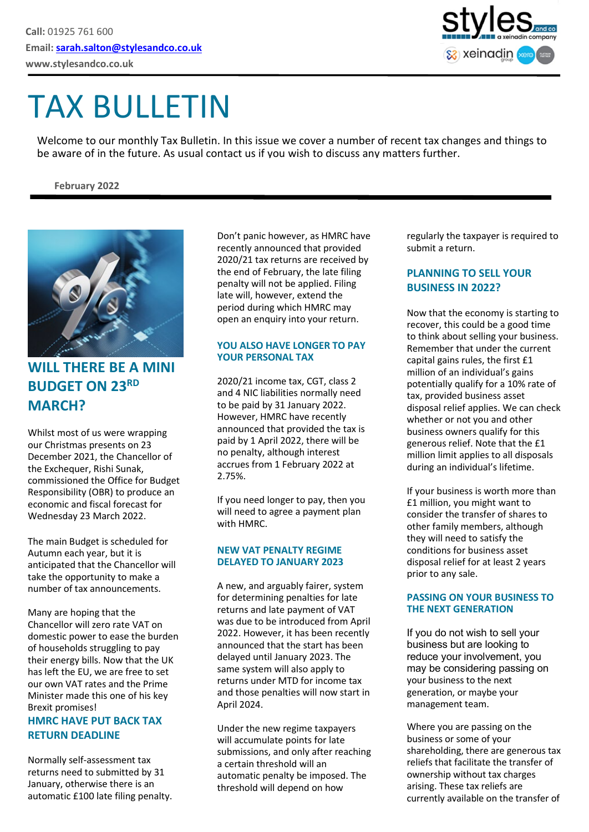# TAX BULLETIN

Welcome to our monthly Tax Bulletin. In this issue we cover a number of recent tax changes and things to be aware of in the future. As usual contact us if you wish to discuss any matters further.

#### **February 2022**



# **WILL THERE BE A MINI BUDGET ON 23RD MARCH?**

Whilst most of us were wrapping our Christmas presents on 23 December 2021, the Chancellor of the Exchequer, Rishi Sunak, commissioned the Office for Budget Responsibility (OBR) to produce an economic and fiscal forecast for Wednesday 23 March 2022.

The main Budget is scheduled for Autumn each year, but it is anticipated that the Chancellor will take the opportunity to make a number of tax announcements.

Many are hoping that the Chancellor will zero rate VAT on domestic power to ease the burden of households struggling to pay their energy bills. Now that the UK has left the EU, we are free to set our own VAT rates and the Prime Minister made this one of his key Brexit promises!

## **HMRC HAVE PUT BACK TAX RETURN DEADLINE**

Normally self-assessment tax returns need to submitted by 31 January, otherwise there is an automatic £100 late filing penalty. Don't panic however, as HMRC have recently announced that provided 2020/21 tax returns are received by the end of February, the late filing penalty will not be applied. Filing late will, however, extend the period during which HMRC may open an enquiry into your return.

#### **YOU ALSO HAVE LONGER TO PAY YOUR PERSONAL TAX**

2020/21 income tax, CGT, class 2 and 4 NIC liabilities normally need to be paid by 31 January 2022. However, HMRC have recently announced that provided the tax is paid by 1 April 2022, there will be no penalty, although interest accrues from 1 February 2022 at 2.75%.

If you need longer to pay, then you will need to agree a payment plan with HMRC.

#### **NEW VAT PENALTY REGIME DELAYED TO JANUARY 2023**

A new, and arguably fairer, system for determining penalties for late returns and late payment of VAT was due to be introduced from April 2022. However, it has been recently announced that the start has been delayed until January 2023. The same system will also apply to returns under MTD for income tax and those penalties will now start in April 2024.

Under the new regime taxpayers will accumulate points for late submissions, and only after reaching a certain threshold will an automatic penalty be imposed. The threshold will depend on how

regularly the taxpayer is required to submit a return.

## **PLANNING TO SELL YOUR BUSINESS IN 2022?**

Now that the economy is starting to recover, this could be a good time to think about selling your business. Remember that under the current capital gains rules, the first £1 million of an individual's gains potentially qualify for a 10% rate of tax, provided business asset disposal relief applies. We can check whether or not you and other business owners qualify for this generous relief. Note that the £1 million limit applies to all disposals during an individual's lifetime.

If your business is worth more than £1 million, you might want to consider the transfer of shares to other family members, although they will need to satisfy the conditions for business asset disposal relief for at least 2 years prior to any sale.

#### **PASSING ON YOUR BUSINESS TO THE NEXT GENERATION**

If you do not wish to sell your business but are looking to reduce your involvement, you may be considering passing on your business to the next generation, or maybe your management team.

Where you are passing on the business or some of your shareholding, there are generous tax reliefs that facilitate the transfer of ownership without tax charges arising. These tax reliefs are currently available on the transfer of